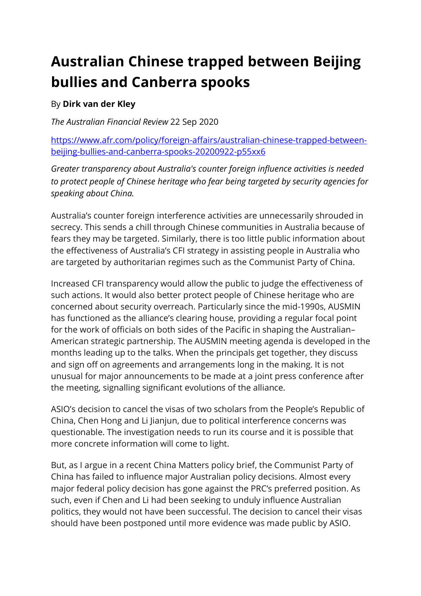## **Australian Chinese trapped between Beijing bullies and Canberra spooks**

## By **Dirk van der Kley**

*The Australian Financial Review* 22 Sep 2020

https://www.afr.com/policy/foreign-affairs/australian-chinese-trapped-betweenbeijing-bullies-and-canberra-spooks-20200922-p55xx6

*Greater transparency about Australia's counter foreign influence activities is needed to protect people of Chinese heritage who fear being targeted by security agencies for speaking about China.*

Australia's counter foreign interference activities are unnecessarily shrouded in secrecy. This sends a chill through Chinese communities in Australia because of fears they may be targeted. Similarly, there is too little public information about the effectiveness of Australia's CFI strategy in assisting people in Australia who are targeted by authoritarian regimes such as the Communist Party of China.

Increased CFI transparency would allow the public to judge the effectiveness of such actions. It would also better protect people of Chinese heritage who are concerned about security overreach. Particularly since the mid-1990s, AUSMIN has functioned as the alliance's clearing house, providing a regular focal point for the work of officials on both sides of the Pacific in shaping the Australian– American strategic partnership. The AUSMIN meeting agenda is developed in the months leading up to the talks. When the principals get together, they discuss and sign off on agreements and arrangements long in the making. It is not unusual for major announcements to be made at a joint press conference after the meeting, signalling significant evolutions of the alliance.

ASIO's decision to cancel the visas of two scholars from the People's Republic of China, Chen Hong and Li Jianjun, due to political interference concerns was questionable. The investigation needs to run its course and it is possible that more concrete information will come to light.

But, as I argue in a recent China Matters policy brief, the Communist Party of China has failed to influence major Australian policy decisions. Almost every major federal policy decision has gone against the PRC's preferred position. As such, even if Chen and Li had been seeking to unduly influence Australian politics, they would not have been successful. The decision to cancel their visas should have been postponed until more evidence was made public by ASIO.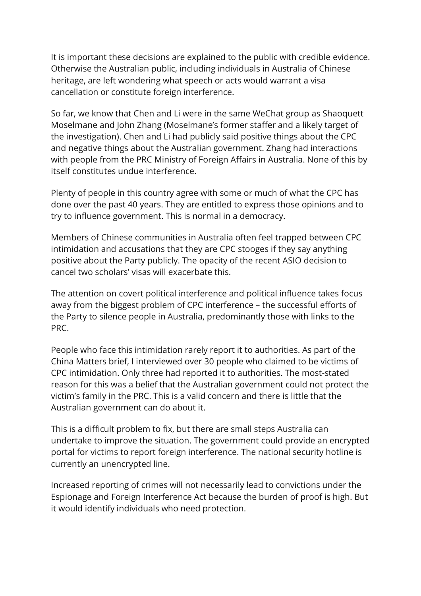It is important these decisions are explained to the public with credible evidence. Otherwise the Australian public, including individuals in Australia of Chinese heritage, are left wondering what speech or acts would warrant a visa cancellation or constitute foreign interference.

So far, we know that Chen and Li were in the same WeChat group as Shaoquett Moselmane and John Zhang (Moselmane's former staffer and a likely target of the investigation). Chen and Li had publicly said positive things about the CPC and negative things about the Australian government. Zhang had interactions with people from the PRC Ministry of Foreign Affairs in Australia. None of this by itself constitutes undue interference.

Plenty of people in this country agree with some or much of what the CPC has done over the past 40 years. They are entitled to express those opinions and to try to influence government. This is normal in a democracy.

Members of Chinese communities in Australia often feel trapped between CPC intimidation and accusations that they are CPC stooges if they say anything positive about the Party publicly. The opacity of the recent ASIO decision to cancel two scholars' visas will exacerbate this.

The attention on covert political interference and political influence takes focus away from the biggest problem of CPC interference – the successful efforts of the Party to silence people in Australia, predominantly those with links to the PRC.

People who face this intimidation rarely report it to authorities. As part of the China Matters brief, I interviewed over 30 people who claimed to be victims of CPC intimidation. Only three had reported it to authorities. The most-stated reason for this was a belief that the Australian government could not protect the victim's family in the PRC. This is a valid concern and there is little that the Australian government can do about it.

This is a difficult problem to fix, but there are small steps Australia can undertake to improve the situation. The government could provide an encrypted portal for victims to report foreign interference. The national security hotline is currently an unencrypted line.

Increased reporting of crimes will not necessarily lead to convictions under the Espionage and Foreign Interference Act because the burden of proof is high. But it would identify individuals who need protection.